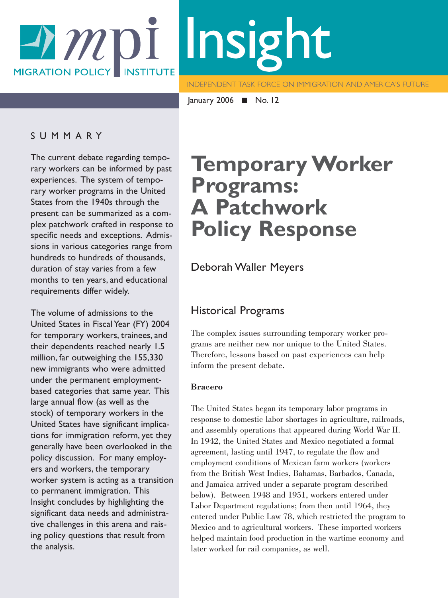# -*A m* pi Insight **MIGRATION POLICY INSTITUTE**

**INDEPENDENT TASK FORCE ON IMMIGRATION AND AMERICA'S FUTURE** 

January 2006 ■ No. 12

### SUMMARY

The current debate regarding temporary workers can be informed by past experiences. The system of temporary worker programs in the United States from the 1940s through the present can be summarized as a complex patchwork crafted in response to specific needs and exceptions. Admissions in various categories range from hundreds to hundreds of thousands, duration of stay varies from a few months to ten years, and educational requirements differ widely.

The volume of admissions to the United States in Fiscal Year (FY) 2004 for temporary workers, trainees, and their dependents reached nearly 1.5 million, far outweighing the 155,330 new immigrants who were admitted under the permanent employmentbased categories that same year. This large annual flow (as well as the stock) of temporary workers in the United States have significant implications for immigration reform, yet they generally have been overlooked in the policy discussion. For many employers and workers, the temporary worker system is acting as a transition to permanent immigration. This Insight concludes by highlighting the significant data needs and administrative challenges in this arena and raising policy questions that result from the analysis.

# **Temporary Worker Programs: A Patchwork Policy Response**

## Deborah Waller Meyers

### Historical Programs

The complex issues surrounding temporary worker programs are neither new nor unique to the United States. Therefore, lessons based on past experiences can help inform the present debate.

### **Bracero**

The United States began its temporary labor programs in response to domestic labor shortages in agriculture, railroads, and assembly operations that appeared during World War II. In 1942, the United States and Mexico negotiated a formal agreement, lasting until 1947, to regulate the flow and employment conditions of Mexican farm workers (workers from the British West Indies, Bahamas, Barbados, Canada, and Jamaica arrived under a separate program described below). Between 1948 and 1951, workers entered under Labor Department regulations; from then until 1964, they entered under Public Law 78, which restricted the program to Mexico and to agricultural workers. These imported workers helped maintain food production in the wartime economy and later worked for rail companies, as well.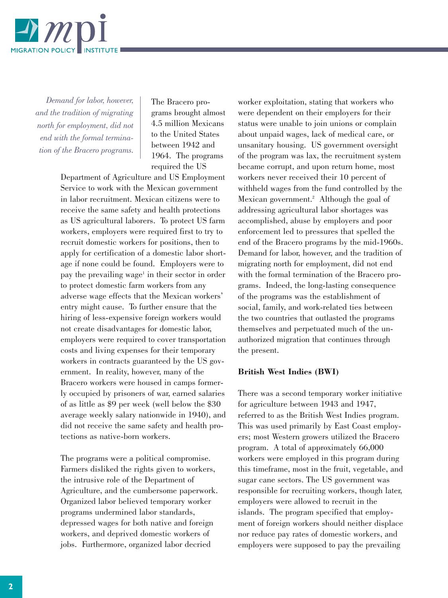

*Demand for labor, however, and the tradition of migrating north for employment, did not end with the formal termination of the Bracero programs.*

The Bracero programs brought almost 4.5 million Mexicans to the United States between 1942 and 1964. The programs required the US

Department of Agriculture and US Employment Service to work with the Mexican government in labor recruitment. Mexican citizens were to receive the same safety and health protections as US agricultural laborers. To protect US farm workers, employers were required first to try to recruit domestic workers for positions, then to apply for certification of a domestic labor shortage if none could be found. Employers were to pay the prevailing wage<sup>1</sup> in their sector in order to protect domestic farm workers from any adverse wage effects that the Mexican workers' entry might cause. To further ensure that the hiring of less-expensive foreign workers would not create disadvantages for domestic labor, employers were required to cover transportation costs and living expenses for their temporary workers in contracts guaranteed by the US government. In reality, however, many of the Bracero workers were housed in camps formerly occupied by prisoners of war, earned salaries of as little as \$9 per week (well below the \$30 average weekly salary nationwide in 1940), and did not receive the same safety and health protections as native-born workers.

The programs were a political compromise. Farmers disliked the rights given to workers, the intrusive role of the Department of Agriculture, and the cumbersome paperwork. Organized labor believed temporary worker programs undermined labor standards, depressed wages for both native and foreign workers, and deprived domestic workers of jobs. Furthermore, organized labor decried

worker exploitation, stating that workers who were dependent on their employers for their status were unable to join unions or complain about unpaid wages, lack of medical care, or unsanitary housing. US government oversight of the program was lax, the recruitment system became corrupt, and upon return home, most workers never received their 10 percent of withheld wages from the fund controlled by the Mexican government.<sup>2</sup> Although the goal of addressing agricultural labor shortages was accomplished, abuse by employers and poor enforcement led to pressures that spelled the end of the Bracero programs by the mid-1960s. Demand for labor, however, and the tradition of migrating north for employment, did not end with the formal termination of the Bracero programs. Indeed, the long-lasting consequence of the programs was the establishment of social, family, and work-related ties between the two countries that outlasted the programs themselves and perpetuated much of the unauthorized migration that continues through the present.

#### **British West Indies (BWI)**

There was a second temporary worker initiative for agriculture between 1943 and 1947, referred to as the British West Indies program. This was used primarily by East Coast employers; most Western growers utilized the Bracero program. A total of approximately 66,000 workers were employed in this program during this timeframe, most in the fruit, vegetable, and sugar cane sectors. The US government was responsible for recruiting workers, though later, employers were allowed to recruit in the islands. The program specified that employment of foreign workers should neither displace nor reduce pay rates of domestic workers, and employers were supposed to pay the prevailing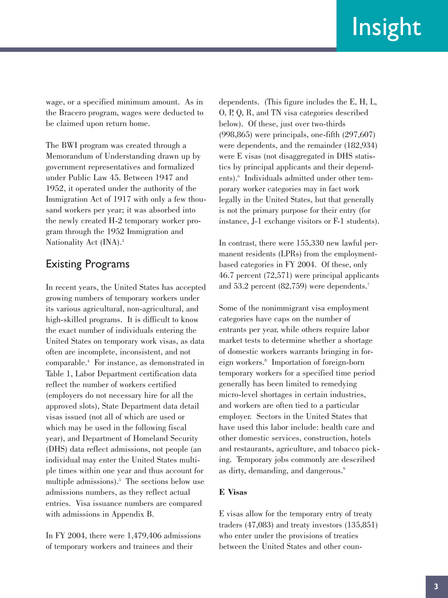wage, or a specified minimum amount. As in the Bracero program, wages were deducted to be claimed upon return home.

The BWI program was created through a Memorandum of Understanding drawn up by government representatives and formalized under Public Law 45. Between 1947 and 1952, it operated under the authority of the Immigration Act of 1917 with only a few thousand workers per year; it was absorbed into the newly created H-2 temporary worker program through the 1952 Immigration and Nationality Act (INA).<sup>3</sup>

## Existing Programs

In recent years, the United States has accepted growing numbers of temporary workers under its various agricultural, non-agricultural, and high-skilled programs. It is difficult to know the exact number of individuals entering the United States on temporary work visas, as data often are incomplete, inconsistent, and not comparable.4 For instance, as demonstrated in Table 1, Labor Department certification data reflect the number of workers certified (employers do not necessary hire for all the approved slots), State Department data detail visas issued (not all of which are used or which may be used in the following fiscal year), and Department of Homeland Security (DHS) data reflect admissions, not people (an individual may enter the United States multiple times within one year and thus account for multiple admissions).<sup>5</sup> The sections below use admissions numbers, as they reflect actual entries. Visa issuance numbers are compared with admissions in Appendix B.

In FY 2004, there were 1,479,406 admissions of temporary workers and trainees and their

dependents. (This figure includes the E, H, L, O, P, Q, R, and TN visa categories described below). Of these, just over two-thirds (998,865) were principals, one-fifth (297,607) were dependents, and the remainder (182,934) were E visas (not disaggregated in DHS statistics by principal applicants and their dependents).6 Individuals admitted under other temporary worker categories may in fact work legally in the United States, but that generally is not the primary purpose for their entry (for instance, J-1 exchange visitors or F-1 students).

In contrast, there were 155,330 new lawful permanent residents (LPRs) from the employmentbased categories in FY 2004. Of these, only 46.7 percent (72,571) were principal applicants and 53.2 percent (82,759) were dependents.7

Some of the nonimmigrant visa employment categories have caps on the number of entrants per year, while others require labor market tests to determine whether a shortage of domestic workers warrants bringing in foreign workers.8 Importation of foreign-born temporary workers for a specified time period generally has been limited to remedying micro-level shortages in certain industries, and workers are often tied to a particular employer. Sectors in the United States that have used this labor include: health care and other domestic services, construction, hotels and restaurants, agriculture, and tobacco picking. Temporary jobs commonly are described as dirty, demanding, and dangerous.<sup>9</sup>

### **E Visas**

E visas allow for the temporary entry of treaty traders (47,083) and treaty investors (135,851) who enter under the provisions of treaties between the United States and other coun-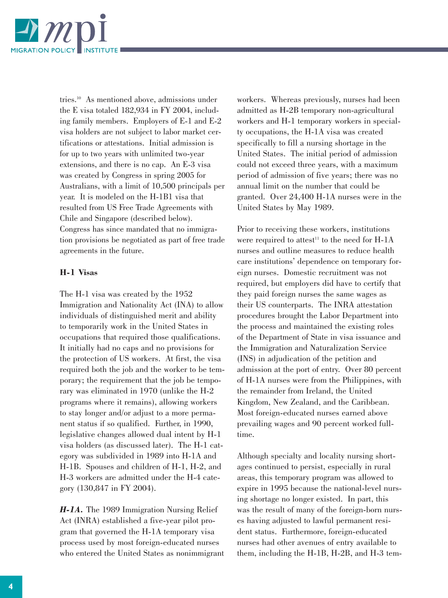

tries.10 As mentioned above, admissions under the E visa totaled 182,934 in FY 2004, including family members. Employers of E-1 and E-2 visa holders are not subject to labor market certifications or attestations. Initial admission is for up to two years with unlimited two-year extensions, and there is no cap. An E-3 visa was created by Congress in spring 2005 for Australians, with a limit of 10,500 principals per year. It is modeled on the H-1B1 visa that resulted from US Free Trade Agreements with Chile and Singapore (described below). Congress has since mandated that no immigration provisions be negotiated as part of free trade agreements in the future.

#### **H-1 Visas**

The H-1 visa was created by the 1952 Immigration and Nationality Act (INA) to allow individuals of distinguished merit and ability to temporarily work in the United States in occupations that required those qualifications. It initially had no caps and no provisions for the protection of US workers. At first, the visa required both the job and the worker to be temporary; the requirement that the job be temporary was eliminated in 1970 (unlike the H-2 programs where it remains), allowing workers to stay longer and/or adjust to a more permanent status if so qualified. Further, in 1990, legislative changes allowed dual intent by H-1 visa holders (as discussed later). The H-1 category was subdivided in 1989 into H-1A and H-1B. Spouses and children of H-1, H-2, and H-3 workers are admitted under the H-4 category (130,847 in FY 2004).

*H-1A.* The 1989 Immigration Nursing Relief Act (INRA) established a five-year pilot program that governed the H-1A temporary visa process used by most foreign-educated nurses who entered the United States as nonimmigrant

workers. Whereas previously, nurses had been admitted as H-2B temporary non-agricultural workers and H-1 temporary workers in specialty occupations, the H-1A visa was created specifically to fill a nursing shortage in the United States. The initial period of admission could not exceed three years, with a maximum period of admission of five years; there was no annual limit on the number that could be granted. Over 24,400 H-1A nurses were in the United States by May 1989.

Prior to receiving these workers, institutions were required to attest<sup>11</sup> to the need for H-1A nurses and outline measures to reduce health care institutions' dependence on temporary foreign nurses. Domestic recruitment was not required, but employers did have to certify that they paid foreign nurses the same wages as their US counterparts. The INRA attestation procedures brought the Labor Department into the process and maintained the existing roles of the Department of State in visa issuance and the Immigration and Naturalization Service (INS) in adjudication of the petition and admission at the port of entry. Over 80 percent of H-1A nurses were from the Philippines, with the remainder from Ireland, the United Kingdom, New Zealand, and the Caribbean. Most foreign-educated nurses earned above prevailing wages and 90 percent worked fulltime.

Although specialty and locality nursing shortages continued to persist, especially in rural areas, this temporary program was allowed to expire in 1995 because the national-level nursing shortage no longer existed. In part, this was the result of many of the foreign-born nurses having adjusted to lawful permanent resident status. Furthermore, foreign-educated nurses had other avenues of entry available to them, including the H-1B, H-2B, and H-3 tem-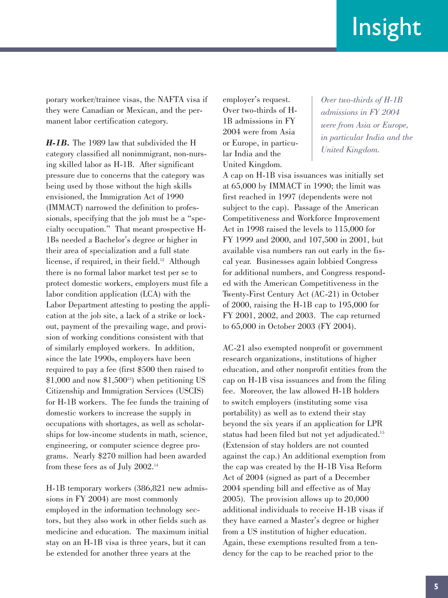porary worker/trainee visas, the NAFTA visa if they were Canadian or Mexican, and the permanent labor certification category.

*H-1B.* The 1989 law that subdivided the H category classified all nonimmigrant, non-nursing skilled labor as H-1B. After significant pressure due to concerns that the category was being used by those without the high skills envisioned, the Immigration Act of 1990 (IMMACT) narrowed the definition to professionals, specifying that the job must be a "specialty occupation." That meant prospective H-1Bs needed a Bachelor's degree or higher in their area of specialization and a full state license, if required, in their field.<sup>12</sup> Although there is no formal labor market test per se to protect domestic workers, employers must file a labor condition application (LCA) with the Labor Department attesting to posting the application at the job site, a lack of a strike or lockout, payment of the prevailing wage, and provision of working conditions consistent with that of similarly employed workers. In addition, since the late 1990s, employers have been required to pay a fee (first \$500 then raised to  $$1,000$  and now  $$1,500^{13}$  when petitioning US Citizenship and Immigration Services (USCIS) for H-1B workers. The fee funds the training of domestic workers to increase the supply in occupations with shortages, as well as scholarships for low-income students in math, science, engineering, or computer science degree programs. Nearly \$270 million had been awarded from these fees as of July 2002.14

H-1B temporary workers (386,821 new admissions in FY 2004) are most commonly employed in the information technology sectors, but they also work in other fields such as medicine and education. The maximum initial stay on an H-1B visa is three years, but it can be extended for another three years at the

employer's request. Over two-thirds of H-1B admissions in FY 2004 were from Asia or Europe, in particular India and the United Kingdom.

*Over two-thirds of H-1B admissions in FY 2004 were from Asia or Europe, in particular India and the United Kingdom.*

A cap on H-1B visa issuances was initially set at 65,000 by IMMACT in 1990; the limit was first reached in 1997 (dependents were not subject to the cap). Passage of the American Competitiveness and Workforce Improvement Act in 1998 raised the levels to 115,000 for FY 1999 and 2000, and 107,500 in 2001, but available visa numbers ran out early in the fiscal year. Businesses again lobbied Congress for additional numbers, and Congress responded with the American Competitiveness in the Twenty-First Century Act (AC-21) in October of 2000, raising the H-1B cap to 195,000 for FY 2001, 2002, and 2003. The cap returned to 65,000 in October 2003 (FY 2004).

AC-21 also exempted nonprofit or government research organizations, institutions of higher education, and other nonprofit entities from the cap on H-1B visa issuances and from the filing fee. Moreover, the law allowed H-1B holders to switch employers (instituting some visa portability) as well as to extend their stay beyond the six years if an application for LPR status had been filed but not yet adjudicated.15 (Extension of stay holders are not counted against the cap.) An additional exemption from the cap was created by the H-1B Visa Reform Act of 2004 (signed as part of a December 2004 spending bill and effective as of May 2005). The provision allows up to 20,000 additional individuals to receive H-1B visas if they have earned a Master's degree or higher from a US institution of higher education. Again, these exemptions resulted from a tendency for the cap to be reached prior to the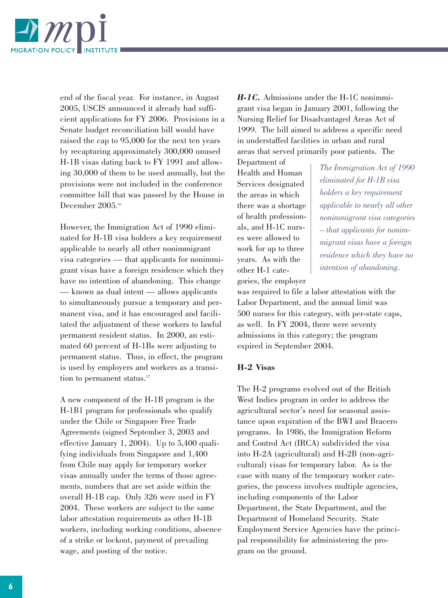

end of the fiscal year. For instance, in August 2005, USCIS announced it already had sufficient applications for FY 2006. Provisions in a Senate budget reconciliation bill would have raised the cap to 95,000 for the next ten years by recapturing approximately 300,000 unused H-1B visas dating back to FY 1991 and allowing 30,000 of them to be used annually, but the provisions were not included in the conference committee bill that was passed by the House in December 2005. 16

However, the Immigration Act of 1990 eliminated for H-1B visa holders a key requirement applicable to nearly all other nonimmigrant visa categories — that applicants for nonimmigrant visas have a foreign residence which they have no intention of abandoning. This change — known as dual intent — allows applicants to simultaneously pursue a temporary and permanent visa, and it has encouraged and facilitated the adjustment of these workers to lawful permanent resident status. In 2000, an estimated 60 percent of H-1Bs were adjusting to permanent status. Thus, in effect, the program is used by employers and workers as a transition to permanent status.<sup>17</sup>

A new component of the H-1B program is the H-1B1 program for professionals who qualify under the Chile or Singapore Free Trade Agreements (signed September 3, 2003 and effective January 1, 2004). Up to 5,400 qualifying individuals from Singapore and 1,400 from Chile may apply for temporary worker visas annually under the terms of those agreements, numbers that are set aside within the overall H-1B cap. Only 326 were used in FY 2004. These workers are subject to the same labor attestation requirements as other H-1B workers, including working conditions, absence of a strike or lockout, payment of prevailing wage, and posting of the notice.

*H-1C.* Admissions under the H-1C nonimmigrant visa began in January 2001, following the Nursing Relief for Disadvantaged Areas Act of 1999. The bill aimed to address a specific need in understaffed facilities in urban and rural areas that served primarily poor patients. The

Department of Health and Human Services designated the areas in which there was a shortage of health professionals, and H-1C nurses were allowed to work for up to three years. As with the other H-1 categories, the employer

*The Immigration Act of 1990 eliminated for H-1B visa holders a key requirement applicable to nearly all other nonimmigrant visa categories – that applicants for nonimmigrant visas have a foreign residence which they have no intention of abandoning.*

was required to file a labor attestation with the Labor Department, and the annual limit was 500 nurses for this category, with per-state caps, as well. In FY 2004, there were seventy admissions in this category; the program expired in September 2004.

#### **H-2 Visas**

The H-2 programs evolved out of the British West Indies program in order to address the agricultural sector's need for seasonal assistance upon expiration of the BWI and Bracero programs. In 1986, the Immigration Reform and Control Act (IRCA) subdivided the visa into H-2A (agricultural) and H-2B (non-agricultural) visas for temporary labor. As is the case with many of the temporary worker categories, the process involves multiple agencies, including components of the Labor Department, the State Department, and the Department of Homeland Security. State Employment Service Agencies have the principal responsibility for administering the program on the ground.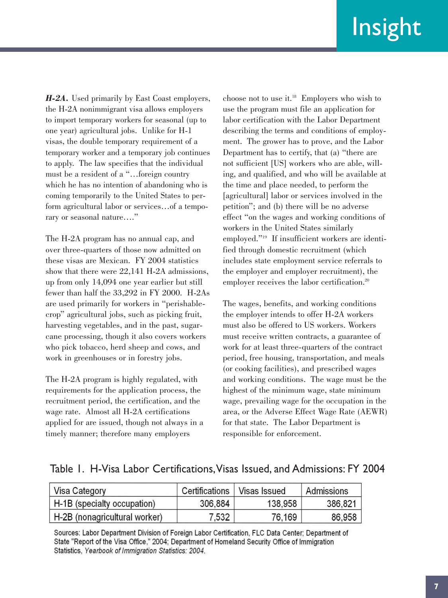*H-2A.* Used primarily by East Coast employers, the H-2A nonimmigrant visa allows employers to import temporary workers for seasonal (up to one year) agricultural jobs. Unlike for H-1 visas, the double temporary requirement of a temporary worker and a temporary job continues to apply. The law specifies that the individual must be a resident of a "…foreign country which he has no intention of abandoning who is coming temporarily to the United States to perform agricultural labor or services…of a temporary or seasonal nature…."

The H-2A program has no annual cap, and over three-quarters of those now admitted on these visas are Mexican. FY 2004 statistics show that there were 22,141 H-2A admissions, up from only 14,094 one year earlier but still fewer than half the 33,292 in FY 2000. H-2As are used primarily for workers in "perishablecrop" agricultural jobs, such as picking fruit, harvesting vegetables, and in the past, sugarcane processing, though it also covers workers who pick tobacco, herd sheep and cows, and work in greenhouses or in forestry jobs.

The H-2A program is highly regulated, with requirements for the application process, the recruitment period, the certification, and the wage rate. Almost all H-2A certifications applied for are issued, though not always in a timely manner; therefore many employers

choose not to use it.18 Employers who wish to use the program must file an application for labor certification with the Labor Department describing the terms and conditions of employment. The grower has to prove, and the Labor Department has to certify, that (a) "there are not sufficient [US] workers who are able, willing, and qualified, and who will be available at the time and place needed, to perform the [agricultural] labor or services involved in the petition"; and (b) there will be no adverse effect "on the wages and working conditions of workers in the United States similarly employed."19 If insufficient workers are identified through domestic recruitment (which includes state employment service referrals to the employer and employer recruitment), the employer receives the labor certification.<sup>20</sup>

The wages, benefits, and working conditions the employer intends to offer H-2A workers must also be offered to US workers. Workers must receive written contracts, a guarantee of work for at least three-quarters of the contract period, free housing, transportation, and meals (or cooking facilities), and prescribed wages and working conditions. The wage must be the highest of the minimum wage, state minimum wage, prevailing wage for the occupation in the area, or the Adverse Effect Wage Rate (AEWR) for that state. The Labor Department is responsible for enforcement.

|  |  |  | Table 1. H-Visa Labor Certifications, Visas Issued, and Admissions: FY 2004 |  |  |  |  |  |
|--|--|--|-----------------------------------------------------------------------------|--|--|--|--|--|
|--|--|--|-----------------------------------------------------------------------------|--|--|--|--|--|

| Visa Category                 | Certifications | Visas Issued | Admissions |
|-------------------------------|----------------|--------------|------------|
| H-1B (specialty occupation)   | 306,884        | 138,958      | 386,821    |
| H-2B (nonagricultural worker) | 7,532          | 76,169       | 86,958     |

Sources: Labor Department Division of Foreign Labor Certification, FLC Data Center; Department of State "Report of the Visa Office," 2004; Department of Homeland Security Office of Immigration Statistics, Yearbook of Immigration Statistics: 2004.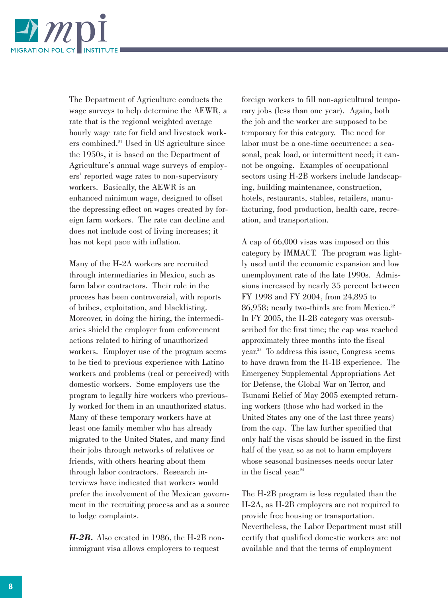

The Department of Agriculture conducts the wage surveys to help determine the AEWR, a rate that is the regional weighted average hourly wage rate for field and livestock workers combined.21 Used in US agriculture since the 1950s, it is based on the Department of Agriculture's annual wage surveys of employers' reported wage rates to non-supervisory workers. Basically, the AEWR is an enhanced minimum wage, designed to offset the depressing effect on wages created by foreign farm workers. The rate can decline and does not include cost of living increases; it has not kept pace with inflation.

Many of the H-2A workers are recruited through intermediaries in Mexico, such as farm labor contractors. Their role in the process has been controversial, with reports of bribes, exploitation, and blacklisting. Moreover, in doing the hiring, the intermediaries shield the employer from enforcement actions related to hiring of unauthorized workers. Employer use of the program seems to be tied to previous experience with Latino workers and problems (real or perceived) with domestic workers. Some employers use the program to legally hire workers who previously worked for them in an unauthorized status. Many of these temporary workers have at least one family member who has already migrated to the United States, and many find their jobs through networks of relatives or friends, with others hearing about them through labor contractors. Research interviews have indicated that workers would prefer the involvement of the Mexican government in the recruiting process and as a source to lodge complaints.

*H-2B.* Also created in 1986, the H-2B nonimmigrant visa allows employers to request

foreign workers to fill non-agricultural temporary jobs (less than one year). Again, both the job and the worker are supposed to be temporary for this category. The need for labor must be a one-time occurrence: a seasonal, peak load, or intermittent need; it cannot be ongoing. Examples of occupational sectors using H-2B workers include landscaping, building maintenance, construction, hotels, restaurants, stables, retailers, manufacturing, food production, health care, recreation, and transportation.

A cap of 66,000 visas was imposed on this category by IMMACT. The program was lightly used until the economic expansion and low unemployment rate of the late 1990s. Admissions increased by nearly 35 percent between FY 1998 and FY 2004, from 24,895 to 86,958; nearly two-thirds are from Mexico.<sup>22</sup> In FY 2005, the H-2B category was oversubscribed for the first time; the cap was reached approximately three months into the fiscal year.23 To address this issue, Congress seems to have drawn from the H-1B experience. The Emergency Supplemental Appropriations Act for Defense, the Global War on Terror, and Tsunami Relief of May 2005 exempted returning workers (those who had worked in the United States any one of the last three years) from the cap. The law further specified that only half the visas should be issued in the first half of the year, so as not to harm employers whose seasonal businesses needs occur later in the fiscal year.<sup>24</sup>

The H-2B program is less regulated than the H-2A, as H-2B employers are not required to provide free housing or transportation. Nevertheless, the Labor Department must still certify that qualified domestic workers are not available and that the terms of employment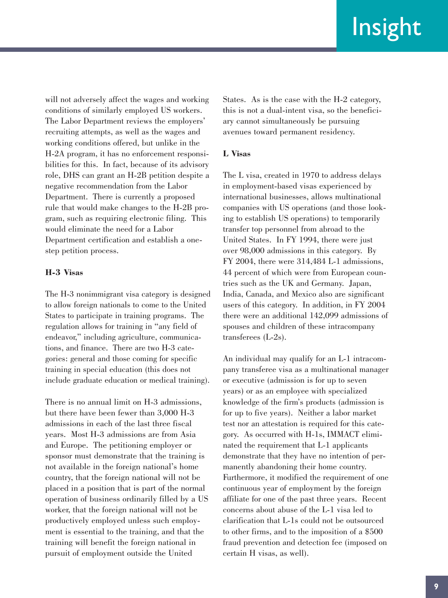will not adversely affect the wages and working conditions of similarly employed US workers. The Labor Department reviews the employers' recruiting attempts, as well as the wages and working conditions offered, but unlike in the H-2A program, it has no enforcement responsibilities for this. In fact, because of its advisory role, DHS can grant an H-2B petition despite a negative recommendation from the Labor Department. There is currently a proposed rule that would make changes to the H-2B program, such as requiring electronic filing. This would eliminate the need for a Labor Department certification and establish a onestep petition process.

### **H-3 Visas**

The H-3 nonimmigrant visa category is designed to allow foreign nationals to come to the United States to participate in training programs. The regulation allows for training in "any field of endeavor," including agriculture, communications, and finance. There are two H-3 categories: general and those coming for specific training in special education (this does not include graduate education or medical training).

There is no annual limit on H-3 admissions, but there have been fewer than 3,000 H-3 admissions in each of the last three fiscal years. Most H-3 admissions are from Asia and Europe. The petitioning employer or sponsor must demonstrate that the training is not available in the foreign national's home country, that the foreign national will not be placed in a position that is part of the normal operation of business ordinarily filled by a US worker, that the foreign national will not be productively employed unless such employment is essential to the training, and that the training will benefit the foreign national in pursuit of employment outside the United

States. As is the case with the H-2 category, this is not a dual-intent visa, so the beneficiary cannot simultaneously be pursuing avenues toward permanent residency.

### **L Visas**

The L visa, created in 1970 to address delays in employment-based visas experienced by international businesses, allows multinational companies with US operations (and those looking to establish US operations) to temporarily transfer top personnel from abroad to the United States. In FY 1994, there were just over 98,000 admissions in this category. By FY 2004, there were 314,484 L-1 admissions, 44 percent of which were from European countries such as the UK and Germany. Japan, India, Canada, and Mexico also are significant users of this category. In addition, in FY 2004 there were an additional 142,099 admissions of spouses and children of these intracompany transferees (L-2s).

An individual may qualify for an L-1 intracompany transferee visa as a multinational manager or executive (admission is for up to seven years) or as an employee with specialized knowledge of the firm's products (admission is for up to five years). Neither a labor market test nor an attestation is required for this category. As occurred with H-1s, IMMACT eliminated the requirement that L-1 applicants demonstrate that they have no intention of permanently abandoning their home country. Furthermore, it modified the requirement of one continuous year of employment by the foreign affiliate for one of the past three years. Recent concerns about abuse of the L-1 visa led to clarification that L-1s could not be outsourced to other firms, and to the imposition of a \$500 fraud prevention and detection fee (imposed on certain H visas, as well).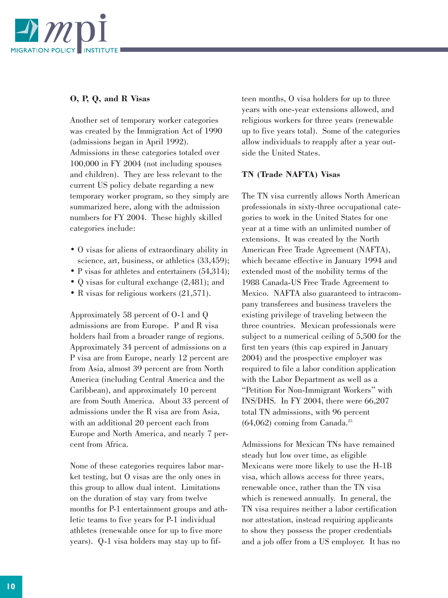

### **O, P, Q, and R Visas**

Another set of temporary worker categories was created by the Immigration Act of 1990 (admissions began in April 1992). Admissions in these categories totaled over 100,000 in FY 2004 (not including spouses and children). They are less relevant to the current US policy debate regarding a new temporary worker program, so they simply are summarized here, along with the admission numbers for FY 2004. These highly skilled categories include:

- O visas for aliens of extraordinary ability in science, art, business, or athletics  $(33, 459)$ ;
- P visas for athletes and entertainers (54,314);
- Q visas for cultural exchange (2,481); and
- R visas for religious workers (21,571).

Approximately 58 percent of O-1 and Q admissions are from Europe. P and R visa holders hail from a broader range of regions. Approximately 34 percent of admissions on a P visa are from Europe, nearly 12 percent are from Asia, almost 39 percent are from North America (including Central America and the Caribbean), and approximately 10 percent are from South America. About 33 percent of admissions under the R visa are from Asia, with an additional 20 percent each from Europe and North America, and nearly 7 percent from Africa.

None of these categories requires labor market testing, but O visas are the only ones in this group to allow dual intent. Limitations on the duration of stay vary from twelve months for P-1 entertainment groups and athletic teams to five years for P-1 individual athletes (renewable once for up to five more years). Q-1 visa holders may stay up to fifteen months, O visa holders for up to three years with one-year extensions allowed, and religious workers for three years (renewable up to five years total). Some of the categories allow individuals to reapply after a year outside the United States.

### **TN (Trade NAFTA) Visas**

The TN visa currently allows North American professionals in sixty-three occupational categories to work in the United States for one year at a time with an unlimited number of extensions. It was created by the North American Free Trade Agreement (NAFTA), which became effective in January 1994 and extended most of the mobility terms of the 1988 Canada-US Free Trade Agreement to Mexico. NAFTA also guaranteed to intracompany transferees and business travelers the existing privilege of traveling between the three countries. Mexican professionals were subject to a numerical ceiling of 5,500 for the first ten years (this cap expired in January 2004) and the prospective employer was required to file a labor condition application with the Labor Department as well as a "Petition For Non-Immigrant Workers" with INS/DHS. In FY 2004, there were 66,207 total TN admissions, with 96 percent  $(64,062)$  coming from Canada.<sup>25</sup>

Admissions for Mexican TNs have remained steady but low over time, as eligible Mexicans were more likely to use the H-1B visa, which allows access for three years, renewable once, rather than the TN visa which is renewed annually. In general, the TN visa requires neither a labor certification nor attestation, instead requiring applicants to show they possess the proper credentials and a job offer from a US employer. It has no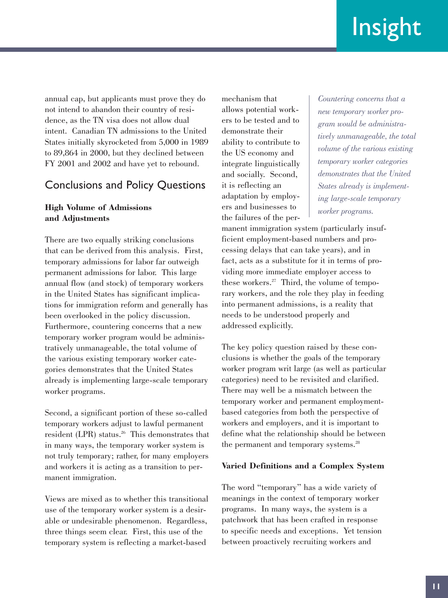annual cap, but applicants must prove they do not intend to abandon their country of residence, as the TN visa does not allow dual intent. Canadian TN admissions to the United States initially skyrocketed from 5,000 in 1989 to 89,864 in 2000, but they declined between FY 2001 and 2002 and have yet to rebound.

## Conclusions and Policy Questions

### **High Volume of Admissions and Adjustments**

There are two equally striking conclusions that can be derived from this analysis. First, temporary admissions for labor far outweigh permanent admissions for labor. This large annual flow (and stock) of temporary workers in the United States has significant implications for immigration reform and generally has been overlooked in the policy discussion. Furthermore, countering concerns that a new temporary worker program would be administratively unmanageable, the total volume of the various existing temporary worker categories demonstrates that the United States already is implementing large-scale temporary worker programs.

Second, a significant portion of these so-called temporary workers adjust to lawful permanent resident (LPR) status.<sup>26</sup> This demonstrates that in many ways, the temporary worker system is not truly temporary; rather, for many employers and workers it is acting as a transition to permanent immigration.

Views are mixed as to whether this transitional use of the temporary worker system is a desirable or undesirable phenomenon. Regardless, three things seem clear. First, this use of the temporary system is reflecting a market-based

mechanism that allows potential workers to be tested and to demonstrate their ability to contribute to the US economy and integrate linguistically and socially. Second, it is reflecting an adaptation by employers and businesses to the failures of the per-

*Countering concerns that a new temporary worker program would be administratively unmanageable, the total volume of the various existing temporary worker categories demonstrates that the United States already is implementing large-scale temporary worker programs.*

manent immigration system (particularly insufficient employment-based numbers and processing delays that can take years), and in fact, acts as a substitute for it in terms of providing more immediate employer access to these workers.27 Third, the volume of temporary workers, and the role they play in feeding into permanent admissions, is a reality that needs to be understood properly and addressed explicitly.

The key policy question raised by these conclusions is whether the goals of the temporary worker program writ large (as well as particular categories) need to be revisited and clarified. There may well be a mismatch between the temporary worker and permanent employmentbased categories from both the perspective of workers and employers, and it is important to define what the relationship should be between the permanent and temporary systems.<sup>28</sup>

### **Varied Definitions and a Complex System**

The word "temporary" has a wide variety of meanings in the context of temporary worker programs. In many ways, the system is a patchwork that has been crafted in response to specific needs and exceptions. Yet tension between proactively recruiting workers and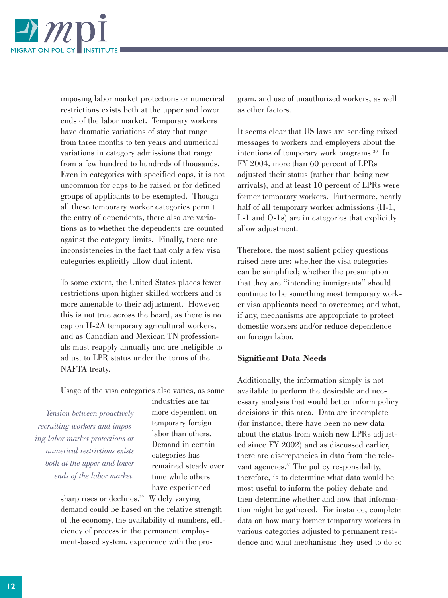

imposing labor market protections or numerical restrictions exists both at the upper and lower ends of the labor market. Temporary workers have dramatic variations of stay that range from three months to ten years and numerical variations in category admissions that range from a few hundred to hundreds of thousands. Even in categories with specified caps, it is not uncommon for caps to be raised or for defined groups of applicants to be exempted. Though all these temporary worker categories permit the entry of dependents, there also are variations as to whether the dependents are counted against the category limits. Finally, there are inconsistencies in the fact that only a few visa categories explicitly allow dual intent.

To some extent, the United States places fewer restrictions upon higher skilled workers and is more amenable to their adjustment. However, this is not true across the board, as there is no cap on H-2A temporary agricultural workers, and as Canadian and Mexican TN professionals must reapply annually and are ineligible to adjust to LPR status under the terms of the NAFTA treaty.

Usage of the visa categories also varies, as some

*Tension between proactively recruiting workers and imposing labor market protections or numerical restrictions exists both at the upper and lower ends of the labor market.*

industries are far more dependent on temporary foreign labor than others. Demand in certain categories has remained steady over time while others have experienced

sharp rises or declines.<sup>29</sup> Widely varying demand could be based on the relative strength of the economy, the availability of numbers, efficiency of process in the permanent employment-based system, experience with the program, and use of unauthorized workers, as well as other factors.

It seems clear that US laws are sending mixed messages to workers and employers about the intentions of temporary work programs.<sup>30</sup> In FY 2004, more than 60 percent of LPRs adjusted their status (rather than being new arrivals), and at least 10 percent of LPRs were former temporary workers. Furthermore, nearly half of all temporary worker admissions (H-1, L-1 and O-1s) are in categories that explicitly allow adjustment.

Therefore, the most salient policy questions raised here are: whether the visa categories can be simplified; whether the presumption that they are "intending immigrants" should continue to be something most temporary worker visa applicants need to overcome; and what, if any, mechanisms are appropriate to protect domestic workers and/or reduce dependence on foreign labor.

### **Significant Data Needs**

Additionally, the information simply is not available to perform the desirable and necessary analysis that would better inform policy decisions in this area. Data are incomplete (for instance, there have been no new data about the status from which new LPRs adjusted since FY 2002) and as discussed earlier, there are discrepancies in data from the relevant agencies.<sup>31</sup> The policy responsibility, therefore, is to determine what data would be most useful to inform the policy debate and then determine whether and how that information might be gathered. For instance, complete data on how many former temporary workers in various categories adjusted to permanent residence and what mechanisms they used to do so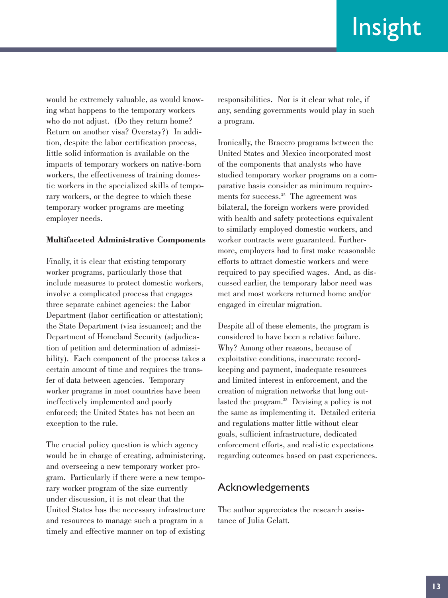would be extremely valuable, as would knowing what happens to the temporary workers who do not adjust. (Do they return home? Return on another visa? Overstay?) In addition, despite the labor certification process, little solid information is available on the impacts of temporary workers on native-born workers, the effectiveness of training domestic workers in the specialized skills of temporary workers, or the degree to which these temporary worker programs are meeting employer needs.

#### **Multifaceted Administrative Components**

Finally, it is clear that existing temporary worker programs, particularly those that include measures to protect domestic workers, involve a complicated process that engages three separate cabinet agencies: the Labor Department (labor certification or attestation); the State Department (visa issuance); and the Department of Homeland Security (adjudication of petition and determination of admissibility). Each component of the process takes a certain amount of time and requires the transfer of data between agencies. Temporary worker programs in most countries have been ineffectively implemented and poorly enforced; the United States has not been an exception to the rule.

The crucial policy question is which agency would be in charge of creating, administering, and overseeing a new temporary worker program. Particularly if there were a new temporary worker program of the size currently under discussion, it is not clear that the United States has the necessary infrastructure and resources to manage such a program in a timely and effective manner on top of existing

responsibilities. Nor is it clear what role, if any, sending governments would play in such a program.

Ironically, the Bracero programs between the United States and Mexico incorporated most of the components that analysts who have studied temporary worker programs on a comparative basis consider as minimum requirements for success.<sup>32</sup> The agreement was bilateral, the foreign workers were provided with health and safety protections equivalent to similarly employed domestic workers, and worker contracts were guaranteed. Furthermore, employers had to first make reasonable efforts to attract domestic workers and were required to pay specified wages. And, as discussed earlier, the temporary labor need was met and most workers returned home and/or engaged in circular migration.

Despite all of these elements, the program is considered to have been a relative failure. Why? Among other reasons, because of exploitative conditions, inaccurate recordkeeping and payment, inadequate resources and limited interest in enforcement, and the creation of migration networks that long outlasted the program.<sup>33</sup> Devising a policy is not the same as implementing it. Detailed criteria and regulations matter little without clear goals, sufficient infrastructure, dedicated enforcement efforts, and realistic expectations regarding outcomes based on past experiences.

### Acknowledgements

The author appreciates the research assistance of Julia Gelatt.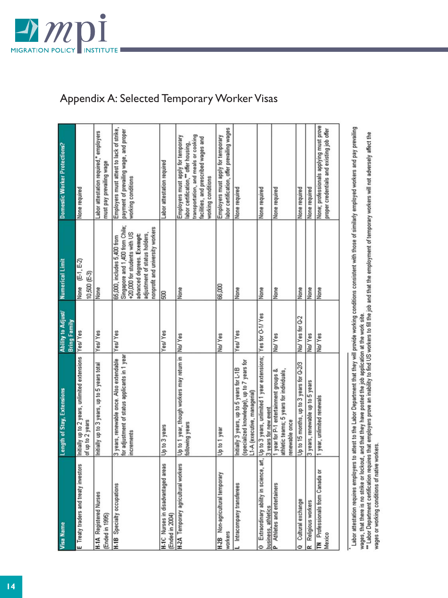

# Appendix A: Selected Temporary Worker Visas

| Visa Name                                             | Length of Stay, Extensions                                                                                                                                                              | Ability to Adjust/<br>Bring Family | Numerical Limit                                                                                                                                                                                  | Domestic Worker Protections?                                                                                                                                                                  |
|-------------------------------------------------------|-----------------------------------------------------------------------------------------------------------------------------------------------------------------------------------------|------------------------------------|--------------------------------------------------------------------------------------------------------------------------------------------------------------------------------------------------|-----------------------------------------------------------------------------------------------------------------------------------------------------------------------------------------------|
| E Treaty traders and treaty investors                 | Initially up to 2 years, unlimited extensions Yes/Yes<br>of up to 2 years                                                                                                               |                                    | None (E-1, E-2)<br>10,500 (E-3)                                                                                                                                                                  | None required                                                                                                                                                                                 |
| <b>H-1A Registered Nurses</b><br>Ended in 1995)       | Initially up to 3 years, up to 5 years total                                                                                                                                            | Yes/Yes                            | None                                                                                                                                                                                             | Labor attestation required,* employers<br>must pay prevailing wage                                                                                                                            |
| <b>H-1B</b> Specialty occupations                     | for adjustment of status applicants in 1 year<br>3 years, renewable once. Also extendable<br>increments                                                                                 | Yes/Yes                            | Singapore and 1,400 from Chile;<br>nonprofit and university workers<br>+20,000 for students with US<br>adjustment of status holders.<br>advanced degrees. Exempt:<br>65,000, includes 5,400 from | Employers must attest to lack of strike,<br>payment of prevailing wage, and proper<br>working conditions                                                                                      |
| H.1C Nurses in disadvantaged areas<br>(Ended in 2004) | Up to 3 years                                                                                                                                                                           | Yes/Yes                            | 500                                                                                                                                                                                              | Labor attestation required                                                                                                                                                                    |
| H.2A Temporary agricultural workers                   | Up to 1 year, though workers may return in No/ Yes<br>following years                                                                                                                   |                                    | None                                                                                                                                                                                             | transportation, and meals or cooking<br>Employers must apply for temporary<br>facilities, and prescribed wages and<br>labor certification, <sup>**</sup> offer housing,<br>working conditions |
| H-2B Non-agricultural temporary<br>workers            | Up to 1 year                                                                                                                                                                            | No/Yes                             | 66,000                                                                                                                                                                                           | labor certification, offer prevailing wages<br>Employers must apply for temporary                                                                                                             |
| Intracompany transferees                              | (specialized knowledge), up to 7 years for<br>Initially 3 years, up to 5 years for L-1B<br>L1-A (executive, managerial)                                                                 | Yes/Yes                            | None                                                                                                                                                                                             | None required                                                                                                                                                                                 |
| business, athletics                                   | Extraordinary ability in science, art, Up to 3 years, unlimited 1 year extensions; Yes for O-1/ Yes<br>3 years for new event                                                            |                                    | None                                                                                                                                                                                             | None required                                                                                                                                                                                 |
| Athletes and entertainers                             | 1 year for P-1 entertainment groups &<br>athletic teams; 5 years for individuals,<br>renewable once                                                                                     | No/Yes                             | None                                                                                                                                                                                             | None required                                                                                                                                                                                 |
| Cultural exchange                                     | Up to 15 months, up to 3 years for Q-2/3                                                                                                                                                | No/ Yes for Q-2                    | None                                                                                                                                                                                             | None required                                                                                                                                                                                 |
| Religious workers                                     | 3 years, renewable up to 5 years                                                                                                                                                        | No/Yes                             | None                                                                                                                                                                                             | None required                                                                                                                                                                                 |
| <b>TN</b> Professionals from Canada or<br>Mexico      | 1 year, unlimited renewals                                                                                                                                                              | No/Yes                             | None                                                                                                                                                                                             | None; professionals applying must prove<br>proper credentials and existing job offer                                                                                                          |
|                                                       | Labor attestation requires employers to attest to the Labor Department that they will provide working conditions consistent with those of similarly employed workers and pay prevailing |                                    |                                                                                                                                                                                                  |                                                                                                                                                                                               |

Labor attestation requires employers to attest to the Labor Department that they will provide working conditions consistent with those of similarly employed workers and pay prevailing<br>\*\* Labor Department certification requ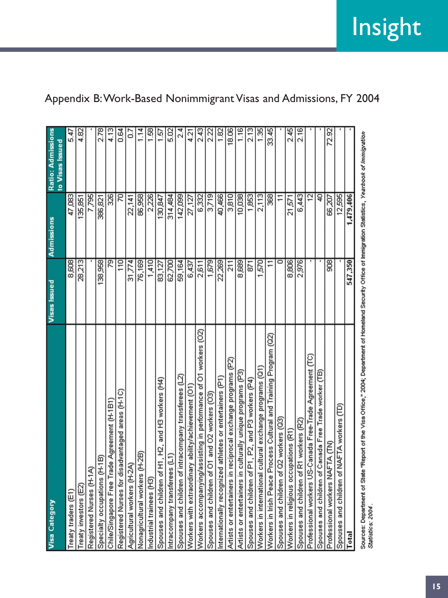| <b>Visa Category</b>                                                                                                                                      | <b>Visas Issued</b> | Admissions     | Ratio: Admissions<br>to Visas Issued |
|-----------------------------------------------------------------------------------------------------------------------------------------------------------|---------------------|----------------|--------------------------------------|
| Treaty traders (E1)                                                                                                                                       | 8,608               | 47,083         | 5.47                                 |
| Treaty investors (E2)                                                                                                                                     | 28,213              | 135,851        | 4.82                                 |
| Registered Nurses (H-1A)                                                                                                                                  |                     | 7,795          |                                      |
| Specialty occupations (H-1B)                                                                                                                              | 138,958             | 386,821        | 2.78                                 |
| Chile/Singapore Free Trade Agreement (H-1B1)                                                                                                              | 79                  | 326            | 4.13                                 |
| Registered Nurses for disadvantaged areas (H-1C)                                                                                                          | 110                 | 70             | 0.64                                 |
| Agricultural workers (H-2A)                                                                                                                               | 31,774              | 22,141         | Ğ                                    |
| Nonagricultural workers (H-2B)                                                                                                                            | 76,169              | 86,958         | 1.14                                 |
| ndustrial trainees (H3)                                                                                                                                   | 1,410               | 2,226          | 1.58                                 |
| and H3 workers (H4)<br>Spouses and children of H1, H2,                                                                                                    | 83,127              | 130,847        | 1.57                                 |
| Intracompany transferees (L1)                                                                                                                             | 62,700              | 314,484        | 5.02                                 |
| Spouses and children of intracompany transferees (L2)                                                                                                     | 59,164              | 142,099        | 24                                   |
| Workers with extraordinary ability/achievement (O1                                                                                                        | 6,437               | 27,127         | 4.21                                 |
| Workers accompanying/assisting in performance of O1 workers (O2)                                                                                          | 2,611               | 6,332          | 2.43                                 |
| Spouses and children of O1 and O2 workers (O3                                                                                                             | 1,679               | 3,719          | 2.22                                 |
| Internationally recognized athletes or entertainers (P1)                                                                                                  | 22,269              | 40,466         | 182                                  |
| Artists or entertainers in reciprocal exchange programs (P2)                                                                                              | 211                 | 3,810          | 18.06                                |
| Artists or entertainers in culturally unique programs (P3)                                                                                                | 8,689               | 10,038         | 116                                  |
| Spouses and children of P1, P2, and P3 workers (P4)                                                                                                       | 52                  | 1,853          | 2.13                                 |
| Workers in international cultural exchange programs (Q1)                                                                                                  | 570                 | 2.113          | $\frac{35}{1}$                       |
| Workers in Irish Peace Process Cultural and Training Program (Q2)                                                                                         |                     | 368            | 33.45                                |
| Spouses and children of Q2 workers (Q3)                                                                                                                   |                     | $\overline{1}$ |                                      |
| Workers in religious occupations (R1)                                                                                                                     | 8,806               | 21,571         | 2.45                                 |
| Spouses and children of R1 workers (R2)                                                                                                                   | 2,976               | 6,443          | 2.16                                 |
| Professional workers US-Canada Free-Trade Agreement (TC)                                                                                                  |                     | 12             |                                      |
| Spouses and children of Canada Free Trade worker (TB)                                                                                                     |                     | Đ              |                                      |
| Professional workers NAFTA (TN)                                                                                                                           | 908                 | 66,207         | 72.92                                |
| Spouses and children of NAFTA workers (TD)                                                                                                                |                     | 12,595         |                                      |
| Total                                                                                                                                                     | 547,350             | 1,479,406      |                                      |
| Sources: Department of State "Report of the Visa Office." 2004; Department of Homeland Security Office of Immigration Statistics: Vearbook of Immigration |                     |                |                                      |

# Appendix B:Work-Based Nonimmigrant Visas and Admissions, FY 2004

sources. Departm<br>Statistics: 2004.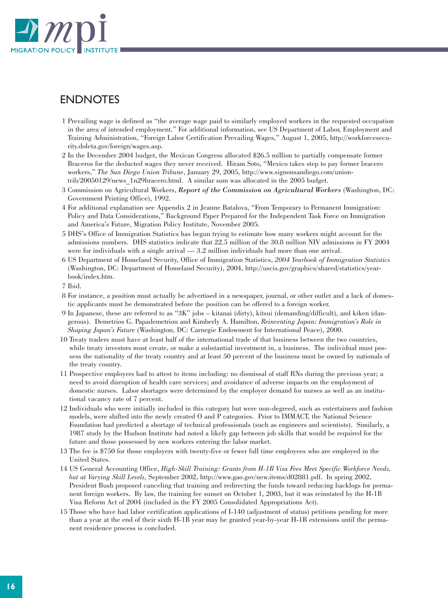

# ENDNOTES

- 1 Prevailing wage is defined as "the average wage paid to similarly employed workers in the requested occupation in the area of intended employment." For additional information, see US Department of Labor, Employment and Training Administration, "Foreign Labor Certification Prevailing Wages," August 1, 2005, http://workforcesecurity.doleta.gov/foreign/wages.asp.
- 2 In the December 2004 budget, the Mexican Congress allocated \$26.5 million to partially compensate former Braceros for the deducted wages they never received. Hiram Soto, "Mexico takes step to pay former bracero workers," *The San Diego Union Tribune*, January 29, 2005, http://www.signonsandiego.com/uniontrib/20050129/news\_1n29bracero.html. A similar sum was allocated in the 2005 budget.
- 3 Commission on Agricultural Workers, *Report of the Commission on Agricultural Workers* (Washington, DC: Government Printing Office), 1992.
- 4 For additional explanation see Appendix 2 in Jeanne Batalova, "From Temporary to Permanent Immigration: Policy and Data Considerations," Background Paper Prepared for the Independent Task Force on Immigration and America's Future, Migration Policy Institute, November 2005.
- 5 DHS's Office of Immigration Statistics has begun trying to estimate how many workers might account for the admissions numbers. DHS statistics indicate that 22.5 million of the 30.8 million NIV admissions in FY 2004 were for individuals with a single arrival — 3.2 million individuals had more than one arrival.
- 6 US Department of Homeland Security, Office of Immigration Statistics, *2004 Yearbook of Immigration Statistics* (Washington, DC: Department of Homeland Security), 2004, http://uscis.gov/graphics/shared/statistics/yearbook/index.htm.
- 7 Ibid.
- 8 For instance, a position must actually be advertised in a newspaper, journal, or other outlet and a lack of domestic applicants must be demonstrated before the position can be offered to a foreign worker.
- 9 In Japanese, these are referred to as "3K" jobs kitanai (dirty), kitsui (demanding/difficult), and kiken (dangerous). Demetrios G. Papademetriou and Kimberly A. Hamilton, *Reinventing Japan: Immigration's Role in Shaping Japan's Future* (Washington, DC: Carnegie Endowment for International Peace), 2000.
- 10 Treaty traders must have at least half of the international trade of that business between the two countries, while treaty investors must create, or make a substantial investment in, a business. The individual must possess the nationality of the treaty country and at least 50 percent of the business must be owned by nationals of the treaty country.
- 11 Prospective employers had to attest to items including: no dismissal of staff RNs during the previous year; a need to avoid disruption of health care services; and avoidance of adverse impacts on the employment of domestic nurses. Labor shortages were determined by the employer demand for nurses as well as an institutional vacancy rate of 7 percent.
- 12 Individuals who were initially included in this category but were non-degreed, such as entertainers and fashion models, were shifted into the newly created O and P categories. Prior to IMMACT, the National Science Foundation had predicted a shortage of technical professionals (such as engineers and scientists). Similarly, a 1987 study by the Hudson Institute had noted a likely gap between job skills that would be required for the future and those possessed by new workers entering the labor market.
- 13 The fee is \$750 for those employers with twenty-five or fewer full time employees who are employed in the United States.
- 14 US General Accounting Office, *High-Skill Training: Grants from H-1B Visa Fees Meet Specific Workforce Needs, but at Varying Skill Levels,* September 2002, http://www.gao.gov/new.items/d02881.pdf. In spring 2002, President Bush proposed canceling that training and redirecting the funds toward reducing backlogs for permanent foreign workers. By law, the training fee sunset on October 1, 2003, but it was reinstated by the H-1B Visa Reform Act of 2004 (included in the FY 2005 Consolidated Appropriations Act).
- 15 Those who have had labor certification applications of I-140 (adjustment of status) petitions pending for more than a year at the end of their sixth H-1B year may be granted year-by-year H-1B extensions until the permanent residence process is concluded.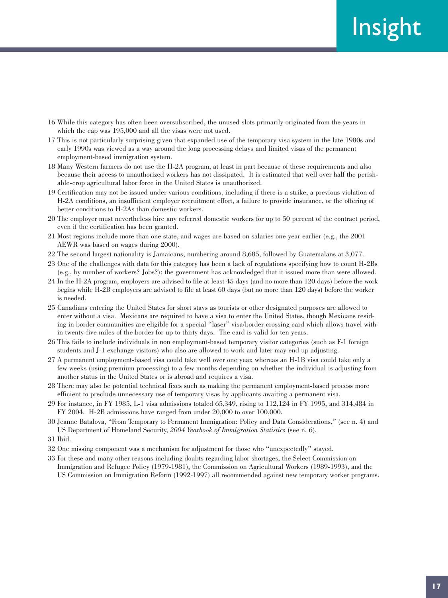- 16 While this category has often been oversubscribed, the unused slots primarily originated from the years in which the cap was 195,000 and all the visas were not used.
- 17 This is not particularly surprising given that expanded use of the temporary visa system in the late 1980s and early 1990s was viewed as a way around the long processing delays and limited visas of the permanent employment-based immigration system.
- 18 Many Western farmers do not use the H-2A program, at least in part because of these requirements and also because their access to unauthorized workers has not dissipated. It is estimated that well over half the perishable-crop agricultural labor force in the United States is unauthorized.
- 19 Certification may not be issued under various conditions, including if there is a strike, a previous violation of H-2A conditions, an insufficient employer recruitment effort, a failure to provide insurance, or the offering of better conditions to H-2As than domestic workers.
- 20 The employer must nevertheless hire any referred domestic workers for up to 50 percent of the contract period, even if the certification has been granted.
- 21 Most regions include more than one state, and wages are based on salaries one year earlier (e.g., the 2001 AEWR was based on wages during 2000).
- 22 The second largest nationality is Jamaicans, numbering around 8,685, followed by Guatemalans at 3,077.
- 23 One of the challenges with data for this category has been a lack of regulations specifying how to count H-2Bs (e.g., by number of workers? Jobs?); the government has acknowledged that it issued more than were allowed.
- 24 In the H-2A program, employers are advised to file at least 45 days (and no more than 120 days) before the work begins while H-2B employers are advised to file at least 60 days (but no more than 120 days) before the worker is needed.
- 25 Canadians entering the United States for short stays as tourists or other designated purposes are allowed to enter without a visa. Mexicans are required to have a visa to enter the United States, though Mexicans residing in border communities are eligible for a special "laser" visa/border crossing card which allows travel within twenty-five miles of the border for up to thirty days. The card is valid for ten years.
- 26 This fails to include individuals in non employment-based temporary visitor categories (such as F-1 foreign students and J-1 exchange visitors) who also are allowed to work and later may end up adjusting.
- 27 A permanent employment-based visa could take well over one year, whereas an H-1B visa could take only a few weeks (using premium processing) to a few months depending on whether the individual is adjusting from another status in the United States or is abroad and requires a visa.
- 28 There may also be potential technical fixes such as making the permanent employment-based process more efficient to preclude unnecessary use of temporary visas by applicants awaiting a permanent visa.
- 29 For instance, in FY 1985, L-1 visa admissions totaled 65,349, rising to 112,124 in FY 1995, and 314,484 in FY 2004. H-2B admissions have ranged from under 20,000 to over 100,000.
- 30 Jeanne Batalova, "From Temporary to Permanent Immigration: Policy and Data Considerations," (see n. 4) and US Department of Homeland Security, *2004 Yearbook of Immigration Statistics* (see n. 6).
- 31 Ibid.
- 32 One missing component was a mechanism for adjustment for those who "unexpectedly" stayed.
- 33 For these and many other reasons including doubts regarding labor shortages, the Select Commission on Immigration and Refugee Policy (1979-1981), the Commission on Agricultural Workers (1989-1993), and the US Commission on Immigration Reform (1992-1997) all recommended against new temporary worker programs.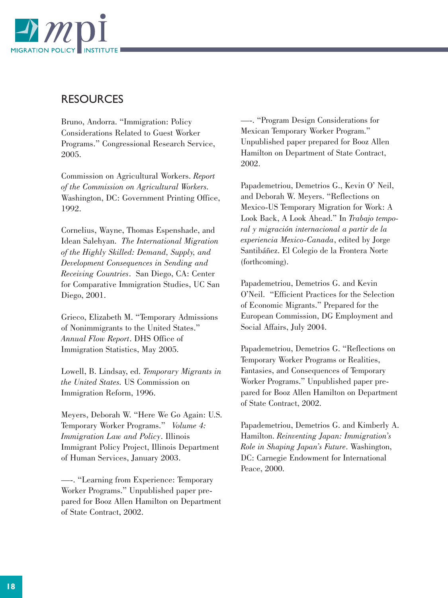

### **RESOURCES**

Bruno, Andorra. "Immigration: Policy Considerations Related to Guest Worker Programs." Congressional Research Service, 2005.

Commission on Agricultural Workers. *Report of the Commission on Agricultural Workers.* Washington, DC: Government Printing Office, 1992.

Cornelius, Wayne, Thomas Espenshade, and Idean Salehyan. *The International Migration of the Highly Skilled: Demand, Supply, and Development Consequences in Sending and Receiving Countries*. San Diego, CA: Center for Comparative Immigration Studies, UC San Diego, 2001.

Grieco, Elizabeth M. "Temporary Admissions of Nonimmigrants to the United States." *Annual Flow Report*. DHS Office of Immigration Statistics, May 2005.

Lowell, B. Lindsay, ed. *Temporary Migrants in the United States.* US Commission on Immigration Reform, 1996.

Meyers, Deborah W. "Here We Go Again: U.S. Temporary Worker Programs." *Volume 4: Immigration Law and Policy*. Illinois Immigrant Policy Project, Illinois Department of Human Services, January 2003.

—-. "Learning from Experience: Temporary Worker Programs." Unpublished paper prepared for Booz Allen Hamilton on Department of State Contract, 2002.

—-. "Program Design Considerations for Mexican Temporary Worker Program." Unpublished paper prepared for Booz Allen Hamilton on Department of State Contract, 2002.

Papademetriou, Demetrios G., Kevin O' Neil, and Deborah W. Meyers. "Reflections on Mexico-US Temporary Migration for Work: A Look Back, A Look Ahead." In *Trabajo temporal y migración internacional a partir de la experiencia Mexico-Canada*, edited by Jorge Santibáñez. El Colegio de la Frontera Norte (forthcoming).

Papademetriou, Demetrios G. and Kevin O'Neil. "Efficient Practices for the Selection of Economic Migrants." Prepared for the European Commission, DG Employment and Social Affairs, July 2004.

Papademetriou, Demetrios G. "Reflections on Temporary Worker Programs or Realities, Fantasies, and Consequences of Temporary Worker Programs." Unpublished paper prepared for Booz Allen Hamilton on Department of State Contract, 2002.

Papademetriou, Demetrios G. and Kimberly A. Hamilton. *Reinventing Japan: Immigration's Role in Shaping Japan's Future*. Washington, DC: Carnegie Endowment for International Peace, 2000.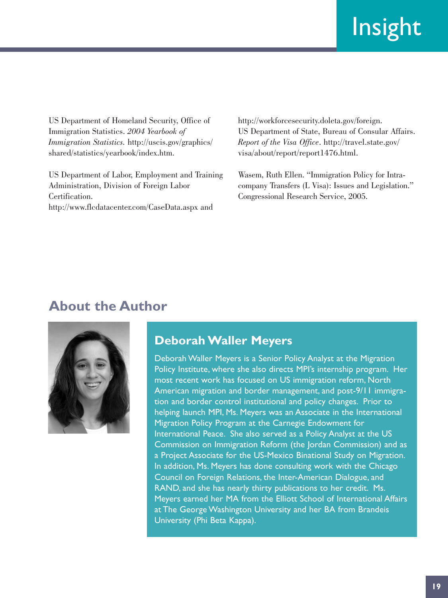US Department of Homeland Security, Office of Immigration Statistics. *2004 Yearbook of Immigration Statistics.* http://uscis.gov/graphics/ shared/statistics/yearbook/index.htm.

US Department of Labor, Employment and Training Administration, Division of Foreign Labor Certification. http://www.flcdatacenter.com/CaseData.aspx and

http://workforcesecurity.doleta.gov/foreign. US Department of State, Bureau of Consular Affairs. *Report of the Visa Office*. http://travel.state.gov/ visa/about/report/report1476.html.

Wasem, Ruth Ellen. "Immigration Policy for Intracompany Transfers (L Visa): Issues and Legislation." Congressional Research Service, 2005.

# **About the Author**



# **Deborah Waller Meyers**

Deborah Waller Meyers is a Senior Policy Analyst at the Migration Policy Institute, where she also directs MPI's internship program. Her most recent work has focused on US immigration reform, North American migration and border management, and post-9/11 immigration and border control institutional and policy changes. Prior to helping launch MPI, Ms. Meyers was an Associate in the International Migration Policy Program at the Carnegie Endowment for International Peace. She also served as a Policy Analyst at the US Commission on Immigration Reform (the Jordan Commission) and as a Project Associate for the US-Mexico Binational Study on Migration. In addition, Ms. Meyers has done consulting work with the Chicago Council on Foreign Relations, the Inter-American Dialogue, and RAND, and she has nearly thirty publications to her credit. Ms. Meyers earned her MA from the Elliott School of International Affairs at The George Washington University and her BA from Brandeis University (Phi Beta Kappa).